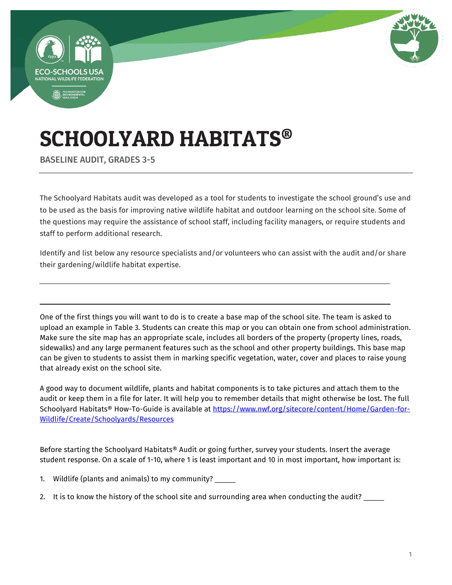



# SCHOOLYARD HABITATS®

BASELINE AUDIT, GRADES 3-5

The Schoolyard Habitats audit was developed as a tool for students to investigate the school ground's use and to be used as the basis for improving native wildlife habitat and outdoor learning on the school site. Some of the questions may require the assistance of school staff, including facility managers, or require students and staff to perform additional research.

Identify and list below any resource specialists and/or volunteers who can assist with the audit and/or share their gardening/wildlife habitat expertise.

One of the first things you will want to do is to create a base map of the school site. The team is asked to upload an example in Table 3. Students can create this map or you can obtain one from school administration. Make sure the site map has an appropriate scale, includes all borders of the property (property lines, roads, sidewalks) and any large permanent features such as the school and other property buildings. This base map can be given to students to assist them in marking specific vegetation, water, cover and places to raise young that already exist on the school site.

A good way to document wildlife, plants and habitat components is to take pictures and attach them to the audit or keep them in a file for later. It will help you to remember details that might otherwise be lost. The full Schoolyard Habitats® How-To-Guide is available at [https://www.nwf.org/sitecore/content/Home/Garden-for-](https://www.nwf.org/sitecore/content/Home/Garden-for-Wildlife/Create/Schoolyards/Resources)[Wildlife/Create/Schoolyards/Resources](https://www.nwf.org/sitecore/content/Home/Garden-for-Wildlife/Create/Schoolyards/Resources) 

Before starting the Schoolyard Habitats® Audit or going further, survey your students. Insert the average student response. On a scale of 1-10, where 1 is least important and 10 in most important, how important is:

- 1. Wildlife (plants and animals) to my community? \_\_\_\_\_
- 2. It is to know the history of the school site and surrounding area when conducting the audit?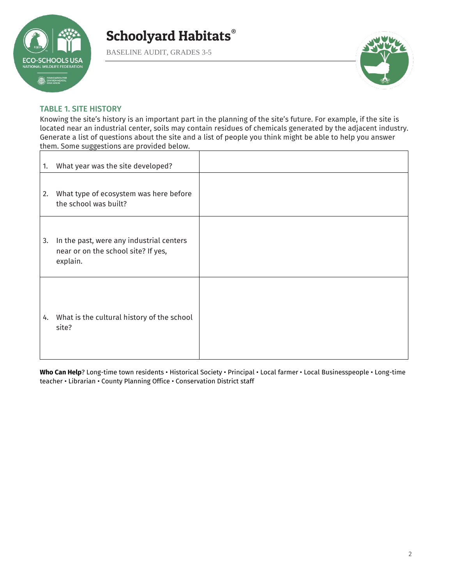

BASELINE AUDIT, GRADES 3-5



### TABLE 1. SITE HISTORY

Knowing the site's history is an important part in the planning of the site's future. For example, if the site is located near an industrial center, soils may contain residues of chemicals generated by the adjacent industry. Generate a list of questions about the site and a list of people you think might be able to help you answer them. Some suggestions are provided below.

| 1. | What year was the site developed?                                                           |  |
|----|---------------------------------------------------------------------------------------------|--|
| 2. | What type of ecosystem was here before<br>the school was built?                             |  |
| 3. | In the past, were any industrial centers<br>near or on the school site? If yes,<br>explain. |  |
|    | 4. What is the cultural history of the school<br>site?                                      |  |

**Who Can Help**? Long-time town residents • Historical Society • Principal • Local farmer • Local Businesspeople • Long-time teacher • Librarian • County Planning Office • Conservation District staff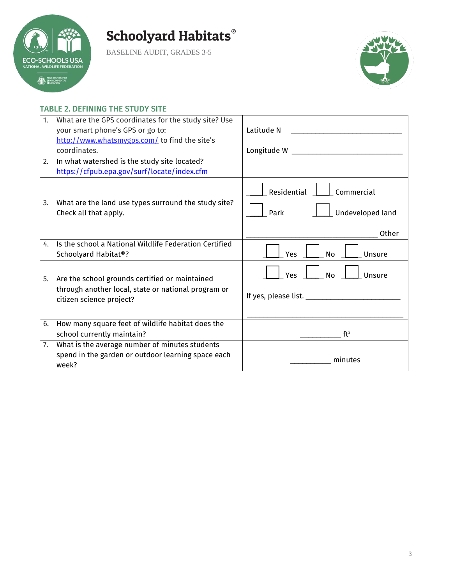

BASELINE AUDIT, GRADES 3-5



### TABLE 2. DEFINING THE STUDY SITE

| 1. | What are the GPS coordinates for the study site? Use<br>your smart phone's GPS or go to:                                          | Latitude N                                                     |
|----|-----------------------------------------------------------------------------------------------------------------------------------|----------------------------------------------------------------|
|    | http://www.whatsmygps.com/ to find the site's<br>coordinates.                                                                     |                                                                |
| 2. | In what watershed is the study site located?<br>https://cfpub.epa.gov/surf/locate/index.cfm                                       |                                                                |
| 3. | What are the land use types surround the study site?<br>Check all that apply.                                                     | Residential<br>Commercial<br>Undeveloped land<br>Park<br>Other |
| 4. | Is the school a National Wildlife Federation Certified<br>Schoolyard Habitat®?                                                    | Yes<br><b>No</b><br>Unsure                                     |
| 5. | Are the school grounds certified or maintained<br>through another local, state or national program or<br>citizen science project? | <b>No</b><br>Unsure<br><b>Yes</b>                              |
| 6. | How many square feet of wildlife habitat does the<br>school currently maintain?                                                   | ft <sup>2</sup>                                                |
| 7. | What is the average number of minutes students<br>spend in the garden or outdoor learning space each<br>week?                     | minutes                                                        |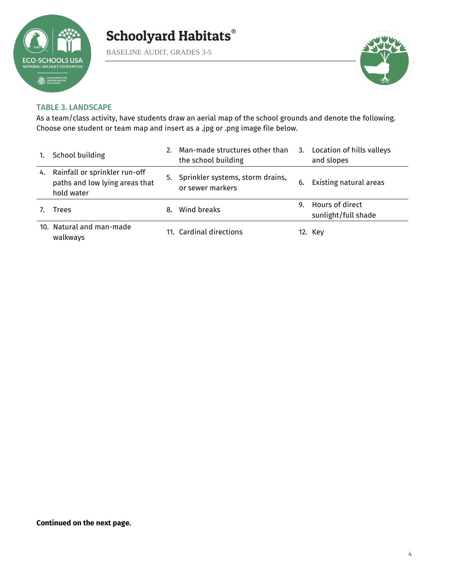

BASELINE AUDIT, GRADES 3-5



### TABLE 3. LANDSCAPE

As a team/class activity, have students draw an aerial map of the school grounds and denote the following. Choose one student or team map and insert as a .jpg or .png image file below.

|    | School building                                                               |    | Man-made structures other than<br>the school building |    | 3. Location of hills valleys<br>and slopes |
|----|-------------------------------------------------------------------------------|----|-------------------------------------------------------|----|--------------------------------------------|
| 4. | Rainfall or sprinkler run-off<br>paths and low lying areas that<br>hold water | 5. | Sprinkler systems, storm drains,<br>or sewer markers  | 6. | Existing natural areas                     |
|    | Trees                                                                         | 8. | Wind breaks                                           | 9. | Hours of direct<br>sunlight/full shade     |
|    | 10. Natural and man-made<br>walkways                                          |    | 11. Cardinal directions                               |    | 12. Key                                    |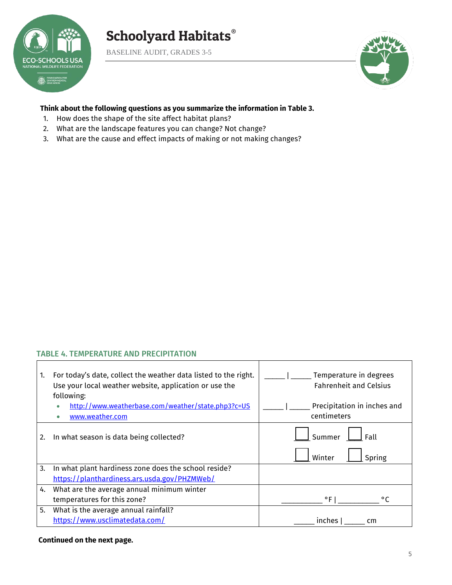

 $\Gamma$ 

# Schoolyard Habitats®

BASELINE AUDIT, GRADES 3-5



### **Think about the following questions as you summarize the information in Table 3.**

- 1. How does the shape of the site affect habitat plans?
- 2. What are the landscape features you can change? Not change?
- 3. What are the cause and effect impacts of making or not making changes?

### TABLE 4. TEMPERATURE AND PRECIPITATION

| 1. | For today's date, collect the weather data listed to the right.<br>Use your local weather website, application or use the<br>following:<br>http://www.weatherbase.com/weather/state.php3?c=US<br>www.weather.com | Temperature in degrees<br><b>Fahrenheit and Celsius</b><br>Precipitation in inches and<br>centimeters |
|----|------------------------------------------------------------------------------------------------------------------------------------------------------------------------------------------------------------------|-------------------------------------------------------------------------------------------------------|
| 2. | In what season is data being collected?                                                                                                                                                                          | Summer<br>Fall<br>Spring<br>Winter                                                                    |
| 3. | In what plant hardiness zone does the school reside?                                                                                                                                                             |                                                                                                       |
|    | https://planthardiness.ars.usda.gov/PHZMWeb/                                                                                                                                                                     |                                                                                                       |
| 4. | What are the average annual minimum winter                                                                                                                                                                       |                                                                                                       |
|    | temperatures for this zone?                                                                                                                                                                                      | $^{\circ}$ F  <br>$^{\circ}$ C                                                                        |
| 5. | What is the average annual rainfall?                                                                                                                                                                             |                                                                                                       |
|    | https://www.usclimatedata.com/                                                                                                                                                                                   | inches<br>cm                                                                                          |

 $\mathbf{I}$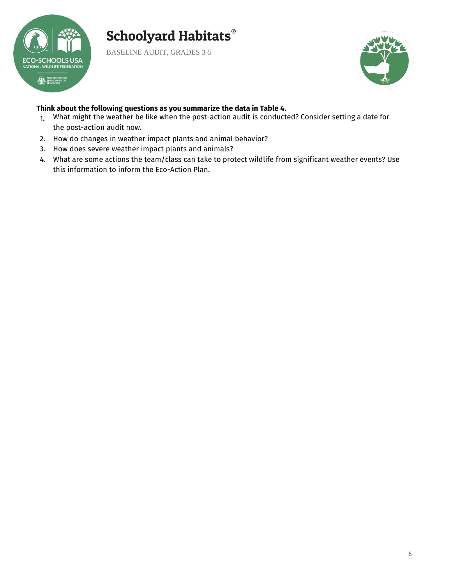

BASELINE AUDIT, GRADES 3-5



#### **Think about the following questions as you summarize the data in Table 4.**

- 1. What might the weather be like when the post-action audit is conducted? Consider setting a date for the post-action audit now.
- 2. How do changes in weather impact plants and animal behavior?
- 3. How does severe weather impact plants and animals?
- 4. What are some actions the team/class can take to protect wildlife from significant weather events? Use this information to inform the Eco-Action Plan.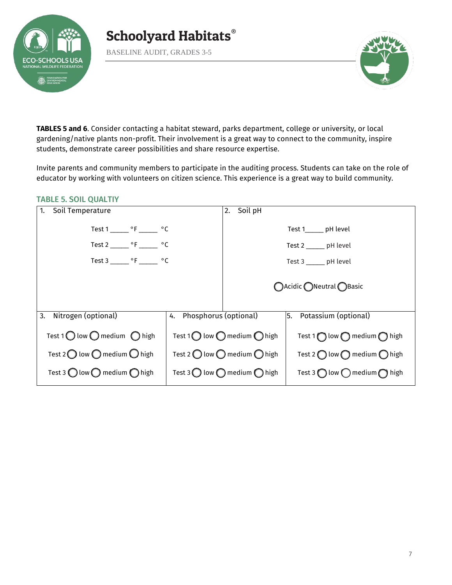

BASELINE AUDIT, GRADES 3-5



**TABLES 5 and 6**. Consider contacting a habitat steward, parks department, college or university, or local gardening/native plants non-profit. Their involvement is a great way to connect to the community, inspire students, demonstrate career possibilities and share resource expertise.

Invite parents and community members to participate in the auditing process. Students can take on the role of educator by working with volunteers on citizen science. This experience is a great way to build community.

#### TABLE 5. SOIL QUALTIY

| Soil Temperature<br>1.                                  |                          | 2. Soil pH                                              |                                                      |
|---------------------------------------------------------|--------------------------|---------------------------------------------------------|------------------------------------------------------|
| Test 1 ________ $\circ$ F ________ $\circ$ C            |                          |                                                         | Test 1______ pH level                                |
| Test 2 _______ $\circ$ F _______ $\circ$ C              |                          |                                                         | Test $2 \_\_\_$ pH level                             |
| Test 3 _______ $\circ$ F _______ $\circ$ C              |                          |                                                         | Test 3 ______ pH level                               |
|                                                         |                          |                                                         | ○Acidic ●Neutral ●Basic                              |
| Nitrogen (optional)<br>3.                               | 4. Phosphorus (optional) |                                                         | $\overline{5.}$ Potassium (optional)                 |
| Test 1 $\bigcirc$ low $\bigcirc$ medium $\bigcirc$ high |                          | Test 1 $\bigcap$ low $\bigcap$ medium $\bigcap$ high    | Test 1 $\bigcap$ low $\bigcap$ medium $\bigcap$ high |
| Test 2 $\bigcirc$ low $\bigcirc$ medium $\bigcirc$ high |                          | Test 2 $\bigcirc$ low $\bigcirc$ medium $\bigcirc$ high | Test 2 $\bigcap$ low $\bigcap$ medium $\bigcap$ high |
| Test 3 $\bigcirc$ low $\bigcirc$ medium $\bigcirc$ high |                          | Test 3 $\bigcirc$ low $\bigcirc$ medium $\bigcirc$ high | Test 3 $\bigcap$ low $\bigcap$ medium $\bigcap$ high |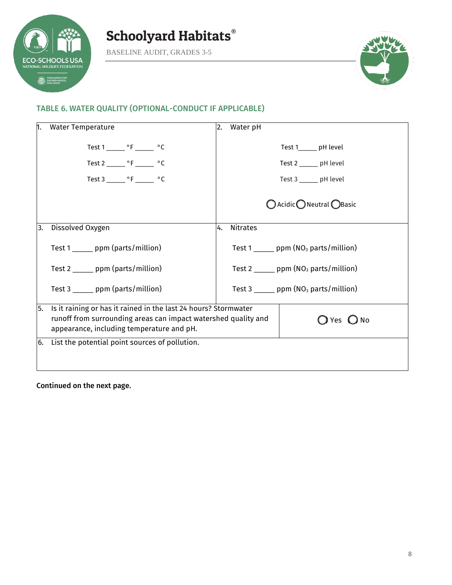

BASELINE AUDIT, GRADES 3-5



### TABLE 6. WATER QUALITY (OPTIONAL-CONDUCT IF APPLICABLE)

| n. | <b>Water Temperature</b>                                                                                                                                                       | 2. | Water pH                                                 |
|----|--------------------------------------------------------------------------------------------------------------------------------------------------------------------------------|----|----------------------------------------------------------|
|    | Test 1 _______ °F _______ °C                                                                                                                                                   |    | Test 1_______ pH level                                   |
|    | Test 2 _______ $\circ$ F ______ $\circ$ C                                                                                                                                      |    | Test 2 ______ pH level                                   |
|    | Test $3 \_ {\_}$ °F $\_$ °C                                                                                                                                                    |    | Test 3 _______ pH level                                  |
|    |                                                                                                                                                                                |    | ○ Acidic ● Neutral ● Basic                               |
| 3. | Dissolved Oxygen                                                                                                                                                               | 4. | <b>Nitrates</b>                                          |
|    | Test 1 ______ ppm (parts/million)                                                                                                                                              |    | Test $1$ _______ ppm (NO <sub>3</sub> parts/million)     |
|    | Test $2 \_\_\_$ ppm (parts/million)                                                                                                                                            |    | Test 2 ______ ppm $(NO3$ parts/million)                  |
|    | Test $3 \_\_\_$ ppm (parts/million)                                                                                                                                            |    | Test 3 $\frac{1}{2}$ ppm (NO <sub>3</sub> parts/million) |
| 5. | Is it raining or has it rained in the last 24 hours? Stormwater<br>runoff from surrounding areas can impact watershed quality and<br>appearance, including temperature and pH. |    | $\bigcirc$ Yes $\bigcirc$ No                             |
| 6. | List the potential point sources of pollution.                                                                                                                                 |    |                                                          |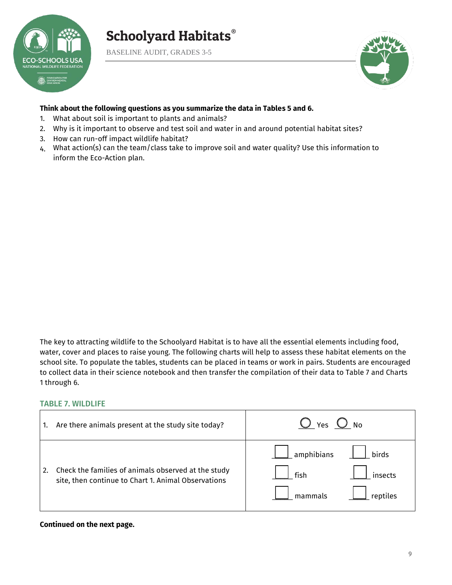

BASELINE AUDIT, GRADES 3-5



### **Think about the following questions as you summarize the data in Tables 5 and 6.**

- 1. What about soil is important to plants and animals?
- 2. Why is it important to observe and test soil and water in and around potential habitat sites?
- 3. How can run-off impact wildlife habitat?
- 4. What action(s) can the team/class take to improve soil and water quality? Use this information to inform the Eco-Action plan.

The key to attracting wildlife to the Schoolyard Habitat is to have all the essential elements including food, water, cover and places to raise young. The following charts will help to assess these habitat elements on the school site. To populate the tables, students can be placed in teams or work in pairs. Students are encouraged to collect data in their science notebook and then transfer the compilation of their data to Table 7 and Charts 1 through 6.

### TABLE 7. WILDLIFE

| 1. | Are there animals present at the study site today?                                                         | ) No<br>Yes                                                    |
|----|------------------------------------------------------------------------------------------------------------|----------------------------------------------------------------|
|    | Check the families of animals observed at the study<br>site, then continue to Chart 1. Animal Observations | amphibians_<br>birds<br>fish<br>insects<br>mammals<br>reptiles |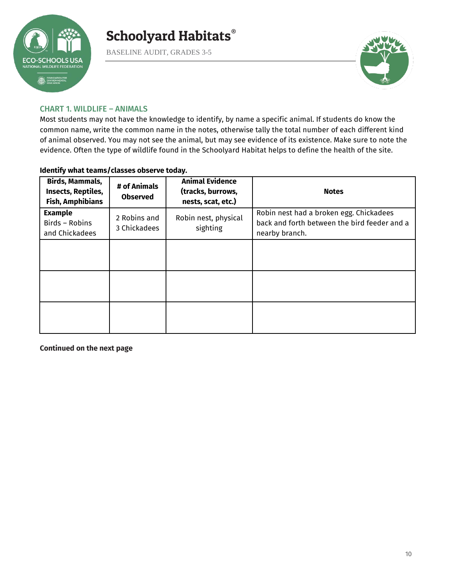

BASELINE AUDIT, GRADES 3-5



### CHART 1. WILDLIFE – ANIMALS

Most students may not have the knowledge to identify, by name a specific animal. If students do know the common name, write the common name in the notes, otherwise tally the total number of each different kind of animal observed. You may not see the animal, but may see evidence of its existence. Make sure to note the evidence. Often the type of wildlife found in the Schoolyard Habitat helps to define the health of the site.

### **Identify what teams/classes observe today.**

| Birds, Mammals,<br>Insects, Reptiles,<br><b>Fish, Amphibians</b> | # of Animals<br><b>Observed</b> | <b>Animal Evidence</b><br>(tracks, burrows,<br>nests, scat, etc.) | <b>Notes</b>                                                                                              |
|------------------------------------------------------------------|---------------------------------|-------------------------------------------------------------------|-----------------------------------------------------------------------------------------------------------|
| <b>Example</b><br>Birds - Robins<br>and Chickadees               | 2 Robins and<br>3 Chickadees    | Robin nest, physical<br>sighting                                  | Robin nest had a broken egg. Chickadees<br>back and forth between the bird feeder and a<br>nearby branch. |
|                                                                  |                                 |                                                                   |                                                                                                           |
|                                                                  |                                 |                                                                   |                                                                                                           |
|                                                                  |                                 |                                                                   |                                                                                                           |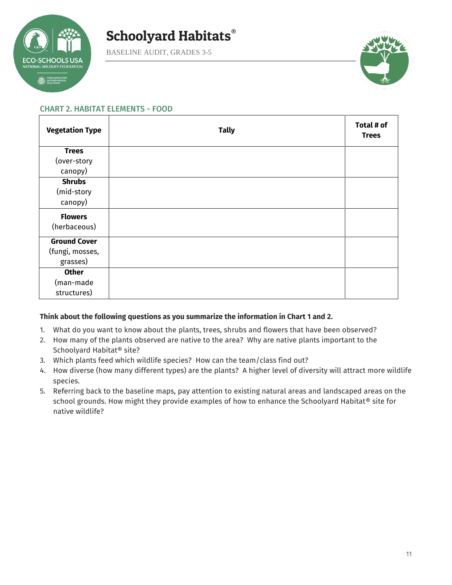

BASELINE AUDIT, GRADES 3-5



### CHART 2. HABITAT ELEMENTS - FOOD

| <b>Vegetation Type</b> | <b>Tally</b> | Total # of<br><b>Trees</b> |
|------------------------|--------------|----------------------------|
| <b>Trees</b>           |              |                            |
| (over-story            |              |                            |
| canopy)                |              |                            |
| <b>Shrubs</b>          |              |                            |
| (mid-story             |              |                            |
| canopy)                |              |                            |
| <b>Flowers</b>         |              |                            |
| (herbaceous)           |              |                            |
| <b>Ground Cover</b>    |              |                            |
| (fungi, mosses,        |              |                            |
| grasses)               |              |                            |
| <b>Other</b>           |              |                            |
| (man-made              |              |                            |
| structures)            |              |                            |

### **Think about the following questions as you summarize the information in Chart 1 and 2.**

- 1. What do you want to know about the plants, trees, shrubs and flowers that have been observed?
- 2. How many of the plants observed are native to the area? Why are native plants important to the Schoolyard Habitat® site?
- 3. Which plants feed which wildlife species? How can the team/class find out?
- 4. How diverse (how many different types) are the plants? A higher level of diversity will attract more wildlife species.
- 5. Referring back to the baseline maps, pay attention to existing natural areas and landscaped areas on the school grounds. How might they provide examples of how to enhance the Schoolyard Habitat® site for native wildlife?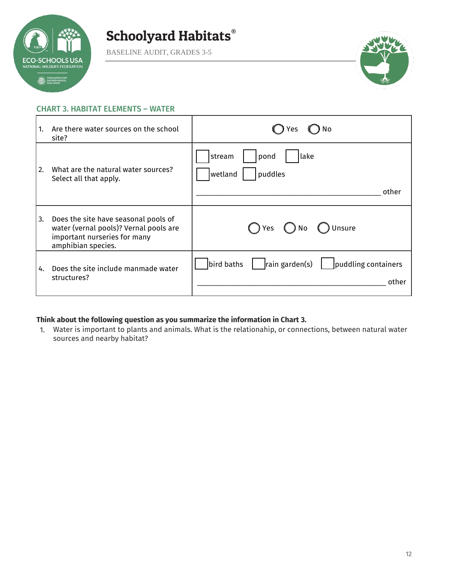

BASELINE AUDIT, GRADES 3-5



#### CHART 3. HABITAT ELEMENTS – WATER

| 1. | Are there water sources on the school<br>site?                                                                                       | No<br>Yes                                                            |
|----|--------------------------------------------------------------------------------------------------------------------------------------|----------------------------------------------------------------------|
| 2. | What are the natural water sources?<br>Select all that apply.                                                                        | lake<br>stream<br>pond<br>wetland<br>puddles<br>other                |
| 3. | Does the site have seasonal pools of<br>water (vernal pools)? Vernal pools are<br>important nurseries for many<br>amphibian species. | Unsure<br>( ) Yes<br>()No                                            |
| 4. | Does the site include manmade water<br>structures?                                                                                   | $\vert$ rain garden(s)<br>bird baths<br>puddling containers<br>other |

### **Think about the following question as you summarize the information in Chart 3.**

1. Water is important to plants and animals. What is the relationahip, or connections, between natural water sources and nearby habitat?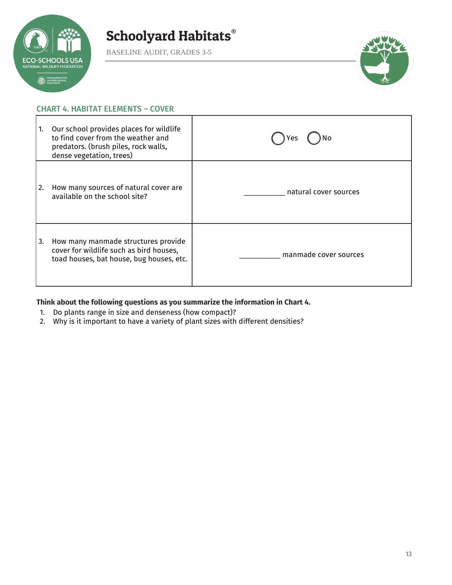

BASELINE AUDIT, GRADES 3-5



### CHART 4. HABITAT ELEMENTS – COVER

| 1. | Our school provides places for wildlife<br>to find cover from the weather and<br>predators. (brush piles, rock walls,<br>dense vegetation, trees) | Yes                   |
|----|---------------------------------------------------------------------------------------------------------------------------------------------------|-----------------------|
| 2. | How many sources of natural cover are<br>available on the school site?                                                                            | natural cover sources |
| 3. | How many manmade structures provide<br>cover for wildlife such as bird houses,<br>toad houses, bat house, bug houses, etc.                        | manmade cover sources |

### **Think about the following questions as you summarize the information in Chart 4.**

- 1. Do plants range in size and denseness (how compact)?<br>2. Why is it important to have a variety of plant sizes with
- 2. Why is it important to have a variety of plant sizes with different densities?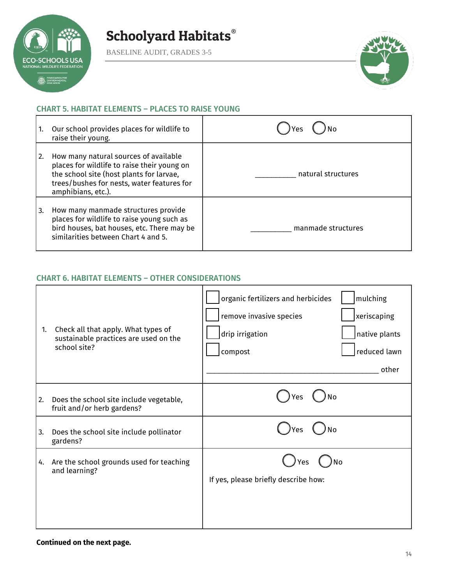

BASELINE AUDIT, GRADES 3-5



### CHART 5. HABITAT ELEMENTS – PLACES TO RAISE YOUNG

| 1. | Our school provides places for wildlife to<br>raise their young.                                                                                                                                     | 'Yes               |
|----|------------------------------------------------------------------------------------------------------------------------------------------------------------------------------------------------------|--------------------|
| 2. | How many natural sources of available<br>places for wildlife to raise their young on<br>the school site (host plants for larvae,<br>trees/bushes for nests, water features for<br>amphibians, etc.). | natural structures |
| 3. | How many manmade structures provide<br>places for wildlife to raise young such as<br>bird houses, bat houses, etc. There may be<br>similarities between Chart 4 and 5.                               | manmade structures |

### CHART 6. HABITAT ELEMENTS – OTHER CONSIDERATIONS

| 1. | Check all that apply. What types of<br>sustainable practices are used on the<br>school site? | organic fertilizers and herbicides<br>remove invasive species<br>drip irrigation<br>compost | mulching<br>xeriscaping<br>native plants<br>reduced lawn<br>other |
|----|----------------------------------------------------------------------------------------------|---------------------------------------------------------------------------------------------|-------------------------------------------------------------------|
| 2. | Does the school site include vegetable,<br>fruit and/or herb gardens?                        | No<br>Yes                                                                                   |                                                                   |
| 3. | Does the school site include pollinator<br>gardens?                                          | No<br>'es                                                                                   |                                                                   |
| 4. | Are the school grounds used for teaching<br>and learning?                                    | No<br>Yes<br>If yes, please briefly describe how:                                           |                                                                   |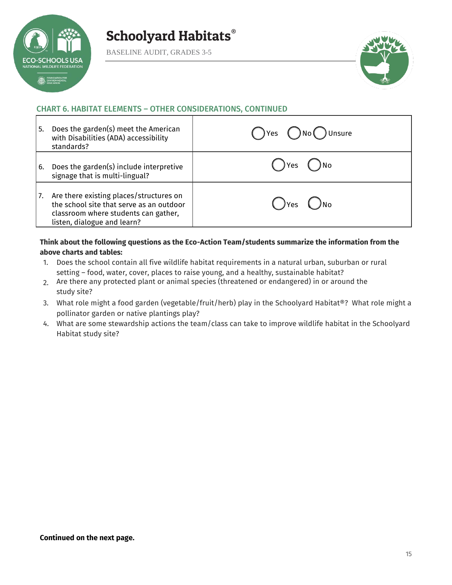

BASELINE AUDIT, GRADES 3-5



### CHART 6. HABITAT ELEMENTS – OTHER CONSIDERATIONS, CONTINUED

| l 5. | Does the garden(s) meet the American<br>with Disabilities (ADA) accessibility<br>standards?                                                                | $\bigcap$ Yes $\bigcap$ No $\bigcap$ Unsure |
|------|------------------------------------------------------------------------------------------------------------------------------------------------------------|---------------------------------------------|
| l 6. | Does the garden(s) include interpretive<br>signage that is multi-lingual?                                                                                  | ) Yes                                       |
| 17.  | Are there existing places/structures on<br>the school site that serve as an outdoor<br>classroom where students can gather,<br>listen, dialogue and learn? | $\bigcap$ Yes $\bigcup$<br>)No              |

### **Think about the following questions as the Eco-Action Team/students summarize the information from the above charts and tables:**

- 1. Does the school contain all five wildlife habitat requirements in a natural urban, suburban or rural setting – food, water, cover, places to raise young, and a healthy, sustainable habitat?
- 2. Are there any protected plant or animal species (threatened or endangered) in or around the study site?
- 3. What role might a food garden (vegetable/fruit/herb) play in the Schoolyard Habitat®? What role might a pollinator garden or native plantings play?
- 4. What are some stewardship actions the team/class can take to improve wildlife habitat in the Schoolyard Habitat study site?